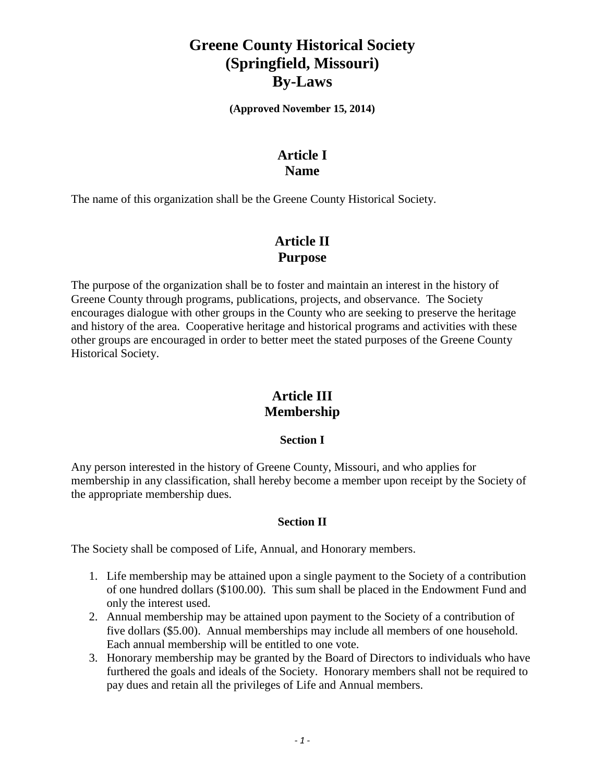# **Greene County Historical Society (Springfield, Missouri) By-Laws**

**(Approved November 15, 2014)**

## **Article I Name**

The name of this organization shall be the Greene County Historical Society.

## **Article II Purpose**

The purpose of the organization shall be to foster and maintain an interest in the history of Greene County through programs, publications, projects, and observance. The Society encourages dialogue with other groups in the County who are seeking to preserve the heritage and history of the area. Cooperative heritage and historical programs and activities with these other groups are encouraged in order to better meet the stated purposes of the Greene County Historical Society.

## **Article III Membership**

### **Section I**

Any person interested in the history of Greene County, Missouri, and who applies for membership in any classification, shall hereby become a member upon receipt by the Society of the appropriate membership dues.

### **Section II**

The Society shall be composed of Life, Annual, and Honorary members.

- 1. Life membership may be attained upon a single payment to the Society of a contribution of one hundred dollars (\$100.00). This sum shall be placed in the Endowment Fund and only the interest used.
- 2. Annual membership may be attained upon payment to the Society of a contribution of five dollars (\$5.00). Annual memberships may include all members of one household. Each annual membership will be entitled to one vote.
- 3. Honorary membership may be granted by the Board of Directors to individuals who have furthered the goals and ideals of the Society. Honorary members shall not be required to pay dues and retain all the privileges of Life and Annual members.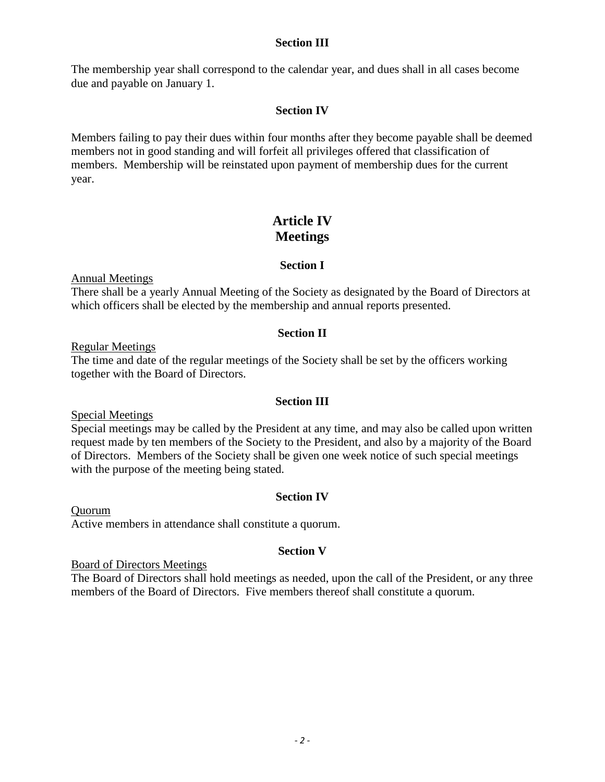#### **Section III**

The membership year shall correspond to the calendar year, and dues shall in all cases become due and payable on January 1.

#### **Section IV**

Members failing to pay their dues within four months after they become payable shall be deemed members not in good standing and will forfeit all privileges offered that classification of members. Membership will be reinstated upon payment of membership dues for the current year.

## **Article IV Meetings**

#### **Section I**

Annual Meetings

There shall be a yearly Annual Meeting of the Society as designated by the Board of Directors at which officers shall be elected by the membership and annual reports presented.

#### **Section II**

Regular Meetings

The time and date of the regular meetings of the Society shall be set by the officers working together with the Board of Directors.

#### **Section III**

Special Meetings

Special meetings may be called by the President at any time, and may also be called upon written request made by ten members of the Society to the President, and also by a majority of the Board of Directors. Members of the Society shall be given one week notice of such special meetings with the purpose of the meeting being stated.

#### **Section IV**

Quorum Active members in attendance shall constitute a quorum.

#### **Section V**

Board of Directors Meetings

The Board of Directors shall hold meetings as needed, upon the call of the President, or any three members of the Board of Directors. Five members thereof shall constitute a quorum.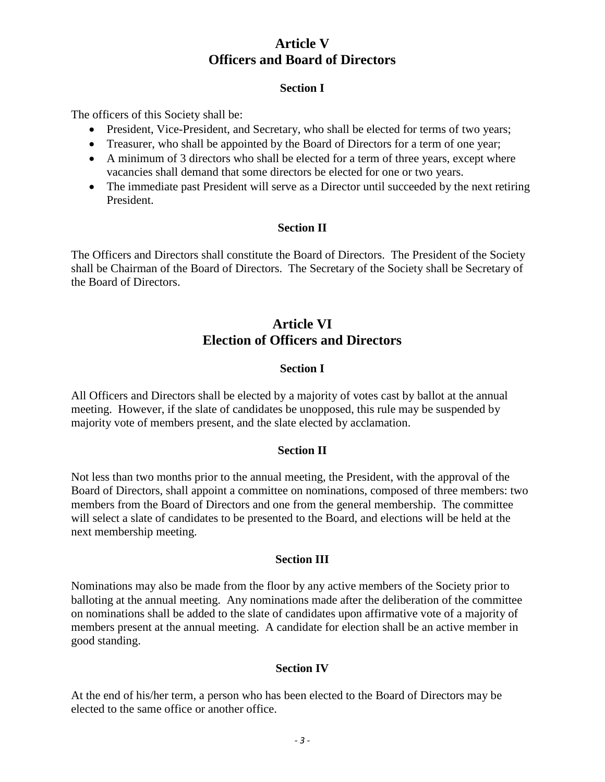## **Article V Officers and Board of Directors**

#### **Section I**

The officers of this Society shall be:

- President, Vice-President, and Secretary, who shall be elected for terms of two years;
- Treasurer, who shall be appointed by the Board of Directors for a term of one year;
- A minimum of 3 directors who shall be elected for a term of three years, except where vacancies shall demand that some directors be elected for one or two years.
- The immediate past President will serve as a Director until succeeded by the next retiring President.

### **Section II**

The Officers and Directors shall constitute the Board of Directors. The President of the Society shall be Chairman of the Board of Directors. The Secretary of the Society shall be Secretary of the Board of Directors.

## **Article VI Election of Officers and Directors**

### **Section I**

All Officers and Directors shall be elected by a majority of votes cast by ballot at the annual meeting. However, if the slate of candidates be unopposed, this rule may be suspended by majority vote of members present, and the slate elected by acclamation.

### **Section II**

Not less than two months prior to the annual meeting, the President, with the approval of the Board of Directors, shall appoint a committee on nominations, composed of three members: two members from the Board of Directors and one from the general membership. The committee will select a slate of candidates to be presented to the Board, and elections will be held at the next membership meeting.

### **Section III**

Nominations may also be made from the floor by any active members of the Society prior to balloting at the annual meeting. Any nominations made after the deliberation of the committee on nominations shall be added to the slate of candidates upon affirmative vote of a majority of members present at the annual meeting. A candidate for election shall be an active member in good standing.

### **Section IV**

At the end of his/her term, a person who has been elected to the Board of Directors may be elected to the same office or another office.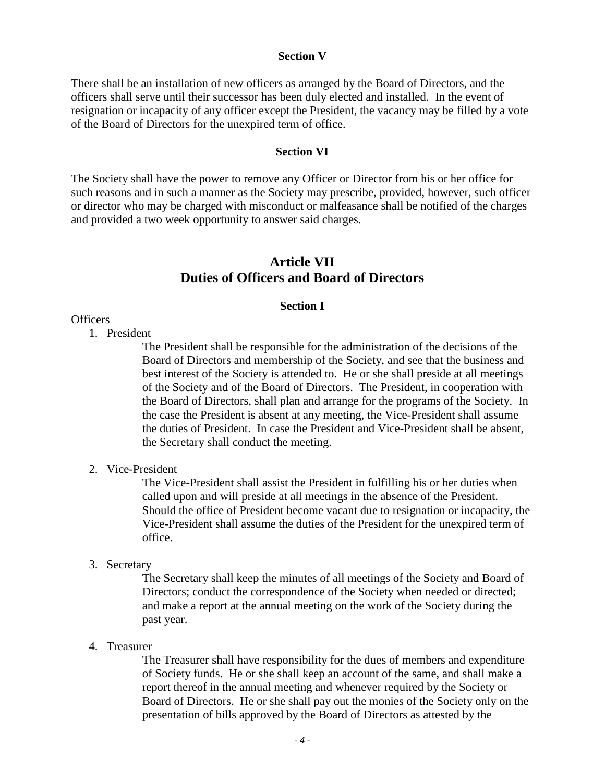#### **Section V**

There shall be an installation of new officers as arranged by the Board of Directors, and the officers shall serve until their successor has been duly elected and installed. In the event of resignation or incapacity of any officer except the President, the vacancy may be filled by a vote of the Board of Directors for the unexpired term of office.

#### **Section VI**

The Society shall have the power to remove any Officer or Director from his or her office for such reasons and in such a manner as the Society may prescribe, provided, however, such officer or director who may be charged with misconduct or malfeasance shall be notified of the charges and provided a two week opportunity to answer said charges.

### **Article VII Duties of Officers and Board of Directors**

#### **Section I**

#### **Officers**

1. President

The President shall be responsible for the administration of the decisions of the Board of Directors and membership of the Society, and see that the business and best interest of the Society is attended to. He or she shall preside at all meetings of the Society and of the Board of Directors. The President, in cooperation with the Board of Directors, shall plan and arrange for the programs of the Society. In the case the President is absent at any meeting, the Vice-President shall assume the duties of President. In case the President and Vice-President shall be absent, the Secretary shall conduct the meeting.

#### 2. Vice-President

The Vice-President shall assist the President in fulfilling his or her duties when called upon and will preside at all meetings in the absence of the President. Should the office of President become vacant due to resignation or incapacity, the Vice-President shall assume the duties of the President for the unexpired term of office.

#### 3. Secretary

The Secretary shall keep the minutes of all meetings of the Society and Board of Directors; conduct the correspondence of the Society when needed or directed; and make a report at the annual meeting on the work of the Society during the past year.

#### 4. Treasurer

The Treasurer shall have responsibility for the dues of members and expenditure of Society funds. He or she shall keep an account of the same, and shall make a report thereof in the annual meeting and whenever required by the Society or Board of Directors. He or she shall pay out the monies of the Society only on the presentation of bills approved by the Board of Directors as attested by the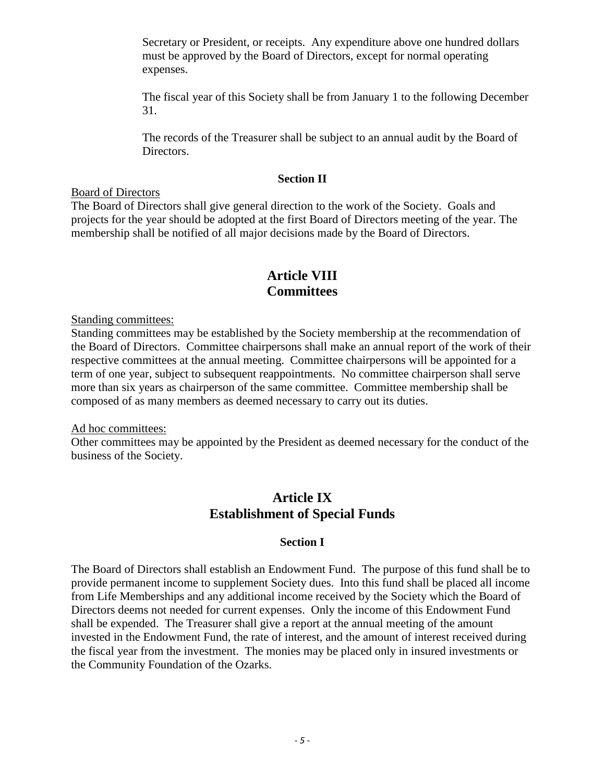Secretary or President, or receipts. Any expenditure above one hundred dollars must be approved by the Board of Directors, except for normal operating expenses.

The fiscal year of this Society shall be from January 1 to the following December 31.

The records of the Treasurer shall be subject to an annual audit by the Board of Directors.

#### **Section II**

#### Board of Directors

The Board of Directors shall give general direction to the work of the Society. Goals and projects for the year should be adopted at the first Board of Directors meeting of the year. The membership shall be notified of all major decisions made by the Board of Directors.

## **Article VIII Committees**

Standing committees:

Standing committees may be established by the Society membership at the recommendation of the Board of Directors. Committee chairpersons shall make an annual report of the work of their respective committees at the annual meeting. Committee chairpersons will be appointed for a term of one year, subject to subsequent reappointments. No committee chairperson shall serve more than six years as chairperson of the same committee. Committee membership shall be composed of as many members as deemed necessary to carry out its duties.

#### Ad hoc committees:

Other committees may be appointed by the President as deemed necessary for the conduct of the business of the Society.

## **Article IX Establishment of Special Funds**

### **Section I**

The Board of Directors shall establish an Endowment Fund. The purpose of this fund shall be to provide permanent income to supplement Society dues. Into this fund shall be placed all income from Life Memberships and any additional income received by the Society which the Board of Directors deems not needed for current expenses. Only the income of this Endowment Fund shall be expended. The Treasurer shall give a report at the annual meeting of the amount invested in the Endowment Fund, the rate of interest, and the amount of interest received during the fiscal year from the investment. The monies may be placed only in insured investments or the Community Foundation of the Ozarks.